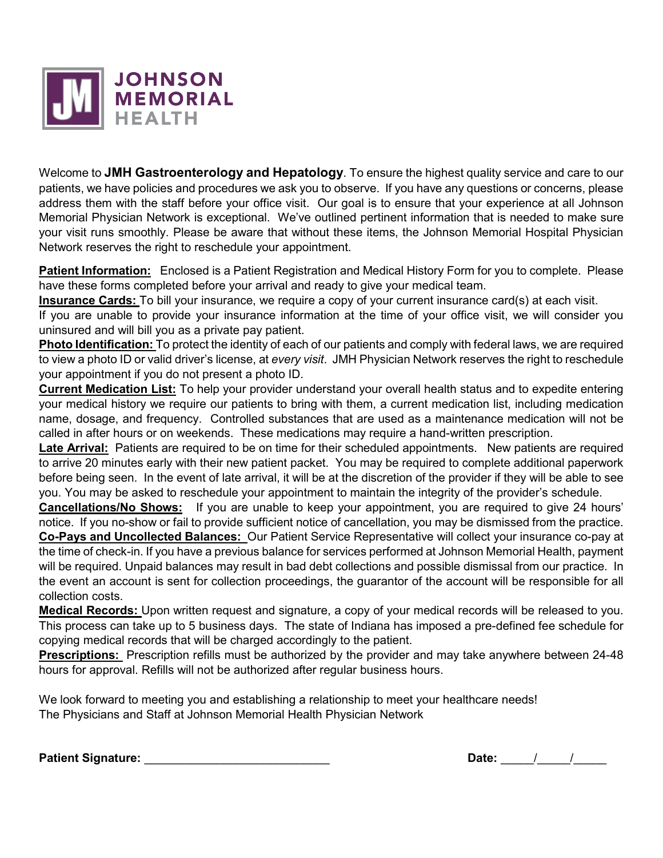

Welcome to **JMH Gastroenterology and Hepatology**. To ensure the highest quality service and care to our patients, we have policies and procedures we ask you to observe. If you have any questions or concerns, please address them with the staff before your office visit. Our goal is to ensure that your experience at all Johnson Memorial Physician Network is exceptional. We've outlined pertinent information that is needed to make sure your visit runs smoothly. Please be aware that without these items, the Johnson Memorial Hospital Physician Network reserves the right to reschedule your appointment.

**Patient Information:** Enclosed is a Patient Registration and Medical History Form for you to complete. Please have these forms completed before your arrival and ready to give your medical team.

**Insurance Cards:** To bill your insurance, we require a copy of your current insurance card(s) at each visit.

If you are unable to provide your insurance information at the time of your office visit, we will consider you uninsured and will bill you as a private pay patient.

**Photo Identification:** To protect the identity of each of our patients and comply with federal laws, we are required to view a photo ID or valid driver's license, at *every visit*. JMH Physician Network reserves the right to reschedule your appointment if you do not present a photo ID.

**Current Medication List:** To help your provider understand your overall health status and to expedite entering your medical history we require our patients to bring with them, a current medication list, including medication name, dosage, and frequency. Controlled substances that are used as a maintenance medication will not be called in after hours or on weekends. These medications may require a hand-written prescription.

**Late Arrival:** Patients are required to be on time for their scheduled appointments. New patients are required to arrive 20 minutes early with their new patient packet. You may be required to complete additional paperwork before being seen. In the event of late arrival, it will be at the discretion of the provider if they will be able to see you. You may be asked to reschedule your appointment to maintain the integrity of the provider's schedule.

**Cancellations/No Shows:** If you are unable to keep your appointment, you are required to give 24 hours' notice. If you no-show or fail to provide sufficient notice of cancellation, you may be dismissed from the practice. **Co-Pays and Uncollected Balances:** Our Patient Service Representative will collect your insurance co-pay at

the time of check-in. If you have a previous balance for services performed at Johnson Memorial Health, payment will be required. Unpaid balances may result in bad debt collections and possible dismissal from our practice. In the event an account is sent for collection proceedings, the guarantor of the account will be responsible for all collection costs.

**Medical Records:** Upon written request and signature, a copy of your medical records will be released to you. This process can take up to 5 business days. The state of Indiana has imposed a pre-defined fee schedule for copying medical records that will be charged accordingly to the patient.

**Prescriptions:** Prescription refills must be authorized by the provider and may take anywhere between 24-48 hours for approval. Refills will not be authorized after regular business hours.

We look forward to meeting you and establishing a relationship to meet your healthcare needs! The Physicians and Staff at Johnson Memorial Health Physician Network

**Patient Signature:** \_\_\_\_\_\_\_\_\_\_\_\_\_\_\_\_\_\_\_\_\_\_\_\_\_\_\_\_ **Date:** \_\_\_\_\_/\_\_\_\_\_/\_\_\_\_\_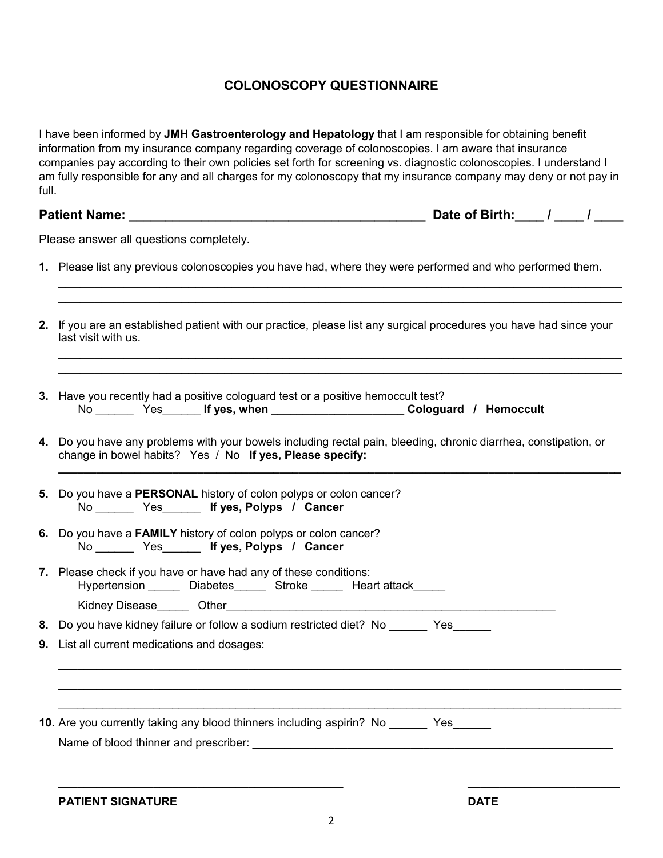## **COLONOSCOPY QUESTIONNAIRE**

I have been informed by **JMH Gastroenterology and Hepatology** that I am responsible for obtaining benefit information from my insurance company regarding coverage of colonoscopies. I am aware that insurance companies pay according to their own policies set forth for screening vs. diagnostic colonoscopies. I understand I am fully responsible for any and all charges for my colonoscopy that my insurance company may deny or not pay in full.

| <b>Patient Name:</b> | Date of Birth: |  |
|----------------------|----------------|--|
|                      |                |  |

Please answer all questions completely.

**1.** Please list any previous colonoscopies you have had, where they were performed and who performed them.

\_\_\_\_\_\_\_\_\_\_\_\_\_\_\_\_\_\_\_\_\_\_\_\_\_\_\_\_\_\_\_\_\_\_\_\_\_\_\_\_\_\_\_\_\_\_\_\_\_\_\_\_\_\_\_\_\_\_\_\_\_\_\_\_\_\_\_\_\_\_\_\_\_\_\_\_\_\_ \_\_\_\_\_\_\_\_\_\_\_\_\_\_\_\_\_\_\_\_\_\_\_\_\_\_\_\_\_\_\_\_\_\_\_\_\_\_\_\_\_\_\_\_\_\_\_\_\_\_\_\_\_\_\_\_\_\_\_\_\_\_\_\_\_\_\_\_\_\_\_\_\_\_\_\_\_\_

\_\_\_\_\_\_\_\_\_\_\_\_\_\_\_\_\_\_\_\_\_\_\_\_\_\_\_\_\_\_\_\_\_\_\_\_\_\_\_\_\_\_\_\_\_\_\_\_\_\_\_\_\_\_\_\_\_\_\_\_\_\_\_\_\_\_\_\_\_\_\_\_\_\_\_\_\_\_ \_\_\_\_\_\_\_\_\_\_\_\_\_\_\_\_\_\_\_\_\_\_\_\_\_\_\_\_\_\_\_\_\_\_\_\_\_\_\_\_\_\_\_\_\_\_\_\_\_\_\_\_\_\_\_\_\_\_\_\_\_\_\_\_\_\_\_\_\_\_\_\_\_\_\_\_\_\_

- **2.** If you are an established patient with our practice, please list any surgical procedures you have had since your last visit with us.
- **3.** Have you recently had a positive cologuard test or a positive hemoccult test? No \_\_\_\_\_\_ Yes\_\_\_\_\_\_ **If yes, when \_\_\_\_\_\_\_\_\_\_\_\_\_\_\_\_\_\_\_\_\_ Cologuard / Hemoccult**
- **4.** Do you have any problems with your bowels including rectal pain, bleeding, chronic diarrhea, constipation, or change in bowel habits? Yes / No **If yes, Please specify:**

**\_\_\_\_\_\_\_\_\_\_\_\_\_\_\_\_\_\_\_\_\_\_\_\_\_\_\_\_\_\_\_\_\_\_\_\_\_\_\_\_\_\_\_\_\_\_\_\_\_\_\_\_\_\_\_\_\_\_\_\_\_\_\_\_\_\_\_\_\_\_\_\_\_\_\_\_\_\_\_\_\_\_\_\_\_\_\_\_\_**

- **5.** Do you have a **PERSONAL** history of colon polyps or colon cancer? No Yes **If yes, Polyps / Cancer**
- **6.** Do you have a **FAMILY** history of colon polyps or colon cancer? No \_\_\_\_\_\_ Yes\_\_\_\_\_\_ **If yes, Polyps / Cancer**
- **7.** Please check if you have or have had any of these conditions: Hypertension \_\_\_\_\_\_ Diabetes\_\_\_\_\_ Stroke \_\_\_\_\_ Heart attack\_\_\_\_\_ Kidney Disease **Other**

**8.** Do you have kidney failure or follow a sodium restricted diet? No **the assuments** Yes

**9.** List all current medications and dosages:

**10.** Are you currently taking any blood thinners including aspirin? No \_\_\_\_\_\_ Yes\_\_\_\_\_ Name of blood thinner and prescriber:

 $\mathcal{L}_\mathcal{L} = \{ \mathcal{L}_\mathcal{L} = \{ \mathcal{L}_\mathcal{L} = \{ \mathcal{L}_\mathcal{L} = \{ \mathcal{L}_\mathcal{L} = \{ \mathcal{L}_\mathcal{L} = \{ \mathcal{L}_\mathcal{L} = \{ \mathcal{L}_\mathcal{L} = \{ \mathcal{L}_\mathcal{L} = \{ \mathcal{L}_\mathcal{L} = \{ \mathcal{L}_\mathcal{L} = \{ \mathcal{L}_\mathcal{L} = \{ \mathcal{L}_\mathcal{L} = \{ \mathcal{L}_\mathcal{L} = \{ \mathcal{L}_\mathcal{$  $\mathcal{L}_\mathcal{L} = \{ \mathcal{L}_\mathcal{L} = \{ \mathcal{L}_\mathcal{L} = \{ \mathcal{L}_\mathcal{L} = \{ \mathcal{L}_\mathcal{L} = \{ \mathcal{L}_\mathcal{L} = \{ \mathcal{L}_\mathcal{L} = \{ \mathcal{L}_\mathcal{L} = \{ \mathcal{L}_\mathcal{L} = \{ \mathcal{L}_\mathcal{L} = \{ \mathcal{L}_\mathcal{L} = \{ \mathcal{L}_\mathcal{L} = \{ \mathcal{L}_\mathcal{L} = \{ \mathcal{L}_\mathcal{L} = \{ \mathcal{L}_\mathcal{$  $\mathcal{L}_\mathcal{L} = \{ \mathcal{L}_\mathcal{L} = \{ \mathcal{L}_\mathcal{L} = \{ \mathcal{L}_\mathcal{L} = \{ \mathcal{L}_\mathcal{L} = \{ \mathcal{L}_\mathcal{L} = \{ \mathcal{L}_\mathcal{L} = \{ \mathcal{L}_\mathcal{L} = \{ \mathcal{L}_\mathcal{L} = \{ \mathcal{L}_\mathcal{L} = \{ \mathcal{L}_\mathcal{L} = \{ \mathcal{L}_\mathcal{L} = \{ \mathcal{L}_\mathcal{L} = \{ \mathcal{L}_\mathcal{L} = \{ \mathcal{L}_\mathcal{$ 

**PATIENT SIGNATURE DATE**

\_\_\_\_\_\_\_\_\_\_\_\_\_\_\_\_\_\_\_\_\_\_\_\_\_\_\_\_\_\_\_\_\_\_\_\_\_\_\_\_\_\_\_\_\_ \_\_\_\_\_\_\_\_\_\_\_\_\_\_\_\_\_\_\_\_\_\_\_\_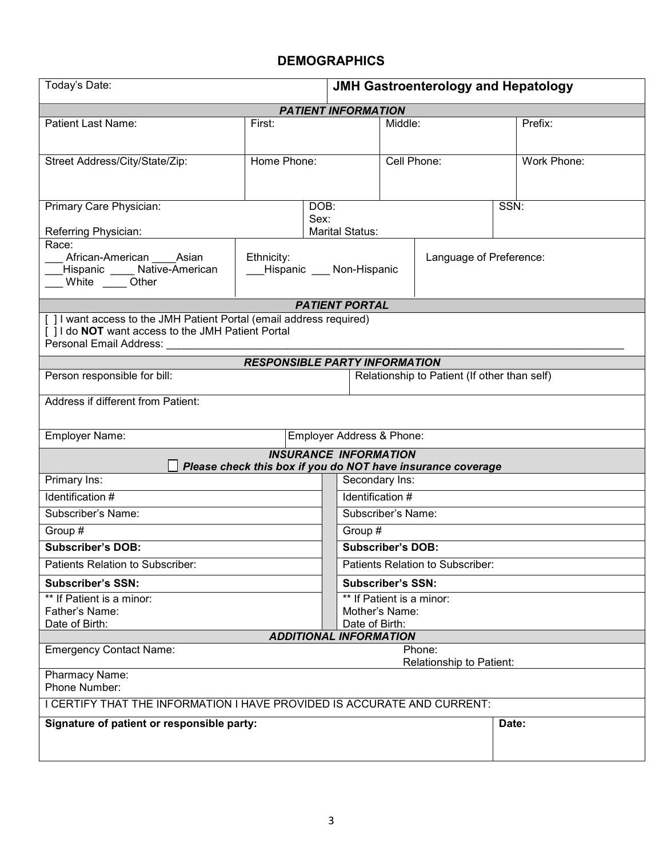## **DEMOGRAPHICS**

| Today's Date:                                                                                                             |                                      |                              | <b>JMH Gastroenterology and Hepatology</b> |                                                             |       |             |
|---------------------------------------------------------------------------------------------------------------------------|--------------------------------------|------------------------------|--------------------------------------------|-------------------------------------------------------------|-------|-------------|
| <b>PATIENT INFORMATION</b>                                                                                                |                                      |                              |                                            |                                                             |       |             |
| <b>Patient Last Name:</b>                                                                                                 | First:                               |                              | Middle:                                    |                                                             |       | Prefix:     |
|                                                                                                                           |                                      |                              |                                            |                                                             |       |             |
| Street Address/City/State/Zip:                                                                                            | Home Phone:                          |                              | Cell Phone:                                |                                                             |       | Work Phone: |
|                                                                                                                           |                                      |                              |                                            |                                                             |       |             |
|                                                                                                                           |                                      |                              |                                            |                                                             |       |             |
| Primary Care Physician:                                                                                                   |                                      | DOB:                         |                                            |                                                             | SSN:  |             |
| Sex:                                                                                                                      |                                      | <b>Marital Status:</b>       |                                            |                                                             |       |             |
| Referring Physician:<br>Race:                                                                                             |                                      |                              |                                            |                                                             |       |             |
| African-American Asian                                                                                                    | Ethnicity:                           |                              |                                            | Language of Preference:                                     |       |             |
| Hispanic ____ Native-American<br>__ White ____Other                                                                       |                                      | Hispanic ___ Non-Hispanic    |                                            |                                                             |       |             |
|                                                                                                                           |                                      |                              |                                            |                                                             |       |             |
|                                                                                                                           |                                      | <b>PATIENT PORTAL</b>        |                                            |                                                             |       |             |
| [ ] I want access to the JMH Patient Portal (email address required)<br>[] I do NOT want access to the JMH Patient Portal |                                      |                              |                                            |                                                             |       |             |
| Personal Email Address:                                                                                                   |                                      |                              |                                            |                                                             |       |             |
|                                                                                                                           | <b>RESPONSIBLE PARTY INFORMATION</b> |                              |                                            |                                                             |       |             |
| Person responsible for bill:                                                                                              |                                      |                              |                                            | Relationship to Patient (If other than self)                |       |             |
|                                                                                                                           |                                      |                              |                                            |                                                             |       |             |
| Address if different from Patient:                                                                                        |                                      |                              |                                            |                                                             |       |             |
|                                                                                                                           |                                      |                              |                                            |                                                             |       |             |
| Employer Name:                                                                                                            |                                      | Employer Address & Phone:    |                                            |                                                             |       |             |
|                                                                                                                           |                                      | <b>INSURANCE INFORMATION</b> |                                            | Please check this box if you do NOT have insurance coverage |       |             |
| Primary Ins:                                                                                                              |                                      |                              | Secondary Ins:                             |                                                             |       |             |
| Identification #                                                                                                          |                                      |                              | Identification #                           |                                                             |       |             |
| Subscriber's Name:                                                                                                        |                                      |                              | Subscriber's Name:                         |                                                             |       |             |
| Group #                                                                                                                   |                                      |                              | Group #                                    |                                                             |       |             |
| <b>Subscriber's DOB:</b>                                                                                                  |                                      |                              | <b>Subscriber's DOB:</b>                   |                                                             |       |             |
| Patients Relation to Subscriber:                                                                                          |                                      |                              | Patients Relation to Subscriber:           |                                                             |       |             |
| <b>Subscriber's SSN:</b>                                                                                                  |                                      |                              | <b>Subscriber's SSN:</b>                   |                                                             |       |             |
| ** If Patient is a minor:                                                                                                 |                                      |                              | ** If Patient is a minor:                  |                                                             |       |             |
| Father's Name:                                                                                                            |                                      |                              | Mother's Name:                             |                                                             |       |             |
| Date of Birth:<br>Date of Birth:<br><b>ADDITIONAL INFORMATION</b>                                                         |                                      |                              |                                            |                                                             |       |             |
| <b>Emergency Contact Name:</b><br>Phone:                                                                                  |                                      |                              |                                            |                                                             |       |             |
| Relationship to Patient:                                                                                                  |                                      |                              |                                            |                                                             |       |             |
| Pharmacy Name:<br>Phone Number:                                                                                           |                                      |                              |                                            |                                                             |       |             |
|                                                                                                                           |                                      |                              |                                            |                                                             |       |             |
| I CERTIFY THAT THE INFORMATION I HAVE PROVIDED IS ACCURATE AND CURRENT:                                                   |                                      |                              |                                            |                                                             |       |             |
| Signature of patient or responsible party:                                                                                |                                      |                              |                                            |                                                             | Date: |             |
|                                                                                                                           |                                      |                              |                                            |                                                             |       |             |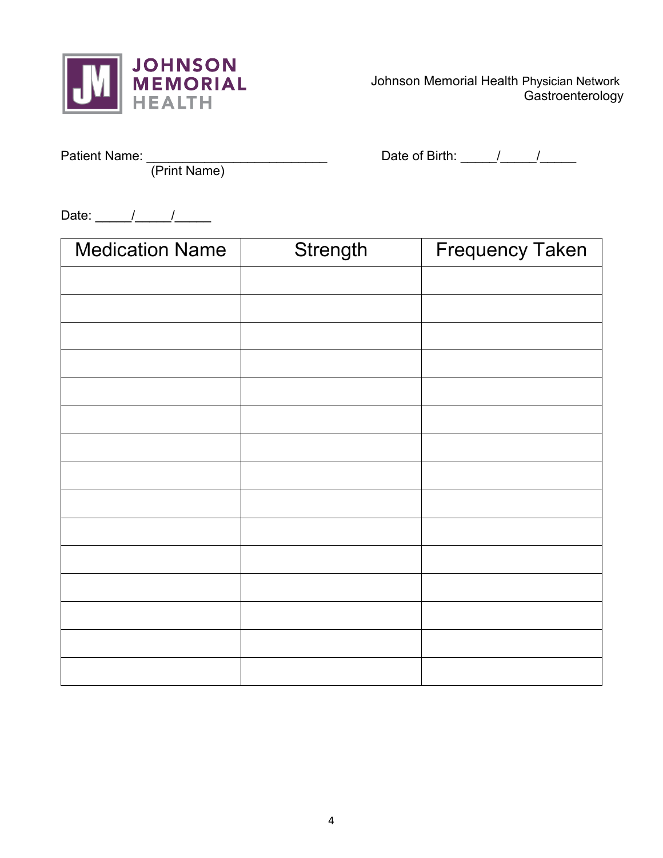

 Johnson Memorial Health Physician Network **Gastroenterology** 

(Print Name)

Patient Name: \_\_\_\_\_\_\_\_\_\_\_\_\_\_\_\_\_\_\_\_\_\_\_\_\_ Date of Birth: \_\_\_\_\_/\_\_\_\_\_/\_\_\_\_\_

Date:  $\frac{1}{\sqrt{2\pi}}$ 

| <b>Medication Name</b> | Strength | <b>Frequency Taken</b> |
|------------------------|----------|------------------------|
|                        |          |                        |
|                        |          |                        |
|                        |          |                        |
|                        |          |                        |
|                        |          |                        |
|                        |          |                        |
|                        |          |                        |
|                        |          |                        |
|                        |          |                        |
|                        |          |                        |
|                        |          |                        |
|                        |          |                        |
|                        |          |                        |
|                        |          |                        |
|                        |          |                        |